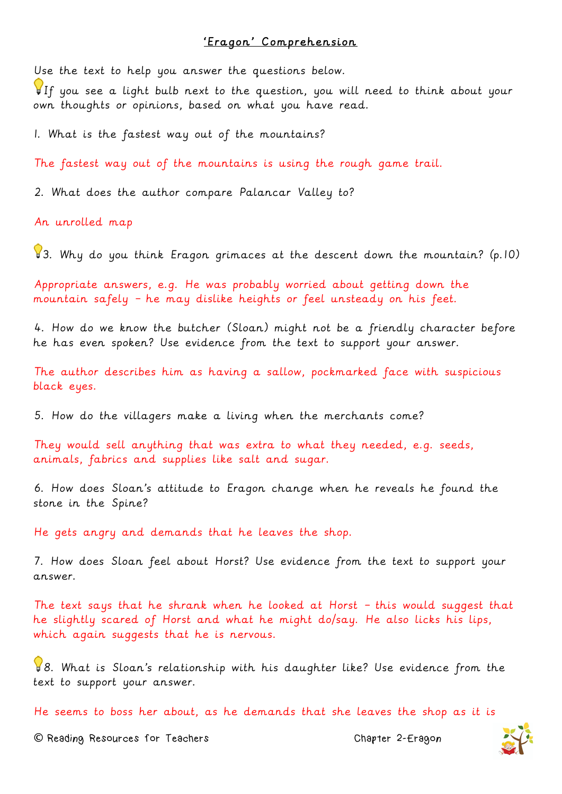## 'Eragon' Comprehension

Use the text to help you answer the questions below.

If you see a light bulb next to the question, you will need to think about your own thoughts or opinions, based on what you have read.

1. What is the fastest way out of the mountains?

The fastest way out of the mountains is using the rough game trail.

2. What does the author compare Palancar Valley to?

An unrolled map

 $\sqrt{3}$ . Why do you think Eragon grimaces at the descent down the mountain? (p.10)

Appropriate answers, e.g. He was probably worried about getting down the mountain safely – he may dislike heights or feel unsteady on his feet.

4. How do we know the butcher (Sloan) might not be a friendly character before he has even spoken? Use evidence from the text to support your answer.

The author describes him as having a sallow, pockmarked face with suspicious black eyes.

5. How do the villagers make a living when the merchants come?

They would sell anything that was extra to what they needed, e.g. seeds, animals, fabrics and supplies like salt and sugar.

6. How does Sloan's attitude to Eragon change when he reveals he found the stone in the Spine?

He gets angry and demands that he leaves the shop.

7. How does Sloan feel about Horst? Use evidence from the text to support your answer.

The text says that he shrank when he looked at Horst – this would suggest that he slightly scared of Horst and what he might do/say. He also licks his lips, which again suggests that he is nervous.

8. What is Sloan's relationship with his daughter like? Use evidence from the text to support your answer.

He seems to boss her about, as he demands that she leaves the shop as it is

**©** Reading Resources for Teachers Chapter 2-Eragon